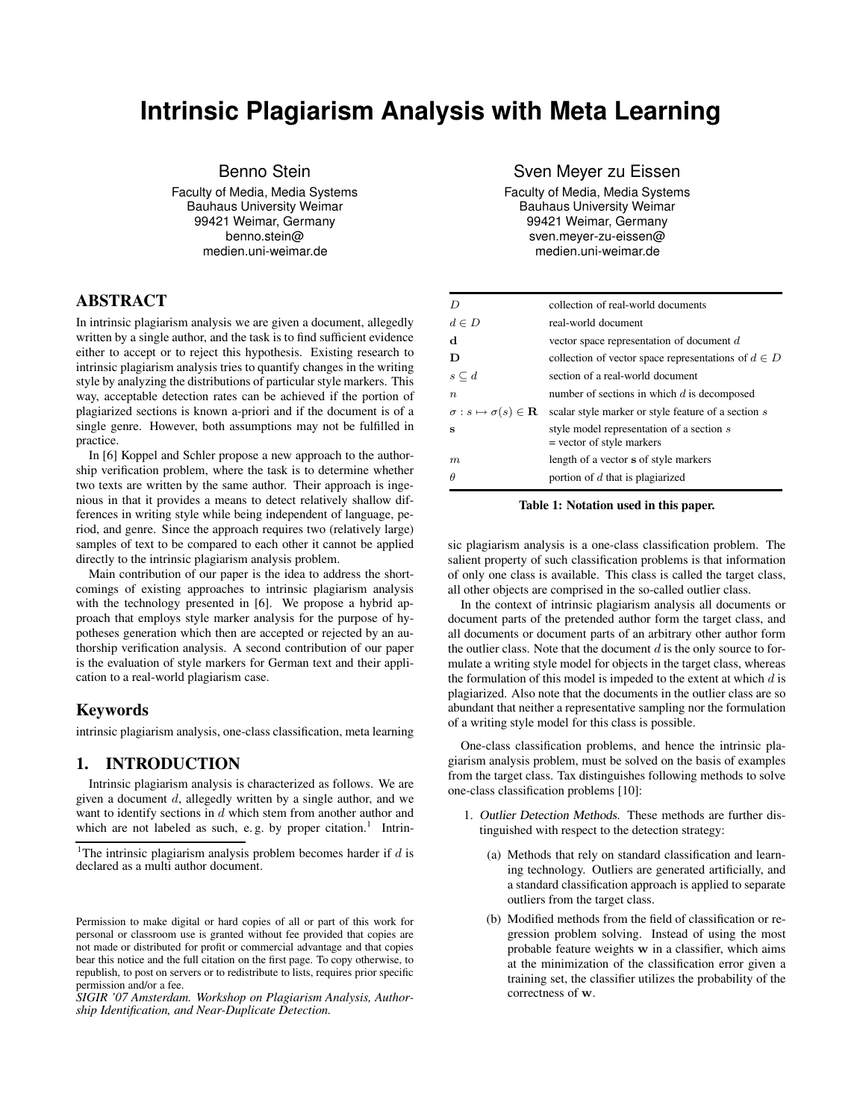# **Intrinsic Plagiarism Analysis with Meta Learning**

Benno Stein

Faculty of Media, Media Systems Bauhaus University Weimar 99421 Weimar, Germany benno.stein@ medien.uni-weimar.de

# **ABSTRACT**

In intrinsic plagiarism analysis we are given a document, allegedly written by a single author, and the task is to find sufficient evidence either to accept or to reject this hypothesis. Existing research to intrinsic plagiarism analysis tries to quantify changes in the writing style by analyzing the distributions of particular style markers. This way, acceptable detection rates can be achieved if the portion of plagiarized sections is known a-priori and if the document is of a single genre. However, both assumptions may not be fulfilled in practice.

In [6] Koppel and Schler propose a new approach to the authorship verification problem, where the task is to determine whether two texts are written by the same author. Their approach is ingenious in that it provides a means to detect relatively shallow differences in writing style while being independent of language, period, and genre. Since the approach requires two (relatively large) samples of text to be compared to each other it cannot be applied directly to the intrinsic plagiarism analysis problem.

Main contribution of our paper is the idea to address the shortcomings of existing approaches to intrinsic plagiarism analysis with the technology presented in [6]. We propose a hybrid approach that employs style marker analysis for the purpose of hypotheses generation which then are accepted or rejected by an authorship verification analysis. A second contribution of our paper is the evaluation of style markers for German text and their application to a real-world plagiarism case.

# **Keywords**

intrinsic plagiarism analysis, one-class classification, meta learning

## **1. INTRODUCTION**

Intrinsic plagiarism analysis is characterized as follows. We are given a document d, allegedly written by a single author, and we want to identify sections in d which stem from another author and which are not labeled as such, e.g. by proper citation.<sup>1</sup> IntrinSven Meyer zu Eissen

Faculty of Media, Media Systems Bauhaus University Weimar 99421 Weimar, Germany sven.meyer-zu-eissen@ medien.uni-weimar.de

|                  | collection of real-world documents                                                               |
|------------------|--------------------------------------------------------------------------------------------------|
| $d \in D$        | real-world document                                                                              |
| d                | vector space representation of document d                                                        |
| D                | collection of vector space representations of $d \in D$                                          |
| $s\subseteq d$   | section of a real-world document                                                                 |
| $\boldsymbol{n}$ | number of sections in which $d$ is decomposed                                                    |
|                  | $\sigma: s \mapsto \sigma(s) \in \mathbf{R}$ scalar style marker or style feature of a section s |
| s                | style model representation of a section s<br>$=$ vector of style markers                         |
| $\boldsymbol{m}$ | length of a vector s of style markers                                                            |
| $\theta$         | portion of $d$ that is plagiarized                                                               |

#### **Table 1: Notation used in this paper.**

sic plagiarism analysis is a one-class classification problem. The salient property of such classification problems is that information of only one class is available. This class is called the target class, all other objects are comprised in the so-called outlier class.

In the context of intrinsic plagiarism analysis all documents or document parts of the pretended author form the target class, and all documents or document parts of an arbitrary other author form the outlier class. Note that the document  $d$  is the only source to formulate a writing style model for objects in the target class, whereas the formulation of this model is impeded to the extent at which  $d$  is plagiarized. Also note that the documents in the outlier class are so abundant that neither a representative sampling nor the formulation of a writing style model for this class is possible.

One-class classification problems, and hence the intrinsic plagiarism analysis problem, must be solved on the basis of examples from the target class. Tax distinguishes following methods to solve one-class classification problems [10]:

- 1. Outlier Detection Methods. These methods are further distinguished with respect to the detection strategy:
	- (a) Methods that rely on standard classification and learning technology. Outliers are generated artificially, and a standard classification approach is applied to separate outliers from the target class.
	- (b) Modified methods from the field of classification or regression problem solving. Instead of using the most probable feature weights w in a classifier, which aims at the minimization of the classification error given a training set, the classifier utilizes the probability of the correctness of w.

<sup>&</sup>lt;sup>1</sup>The intrinsic plagiarism analysis problem becomes harder if  $d$  is declared as a multi author document.

Permission to make digital or hard copies of all or part of this work for personal or classroom use is granted without fee provided that copies are not made or distributed for profit or commercial advantage and that copies bear this notice and the full citation on the first page. To copy otherwise, to republish, to post on servers or to redistribute to lists, requires prior specific permission and/or a fee.

*SIGIR '07 Amsterdam. Workshop on Plagiarism Analysis, Authorship Identification, and Near-Duplicate Detection.*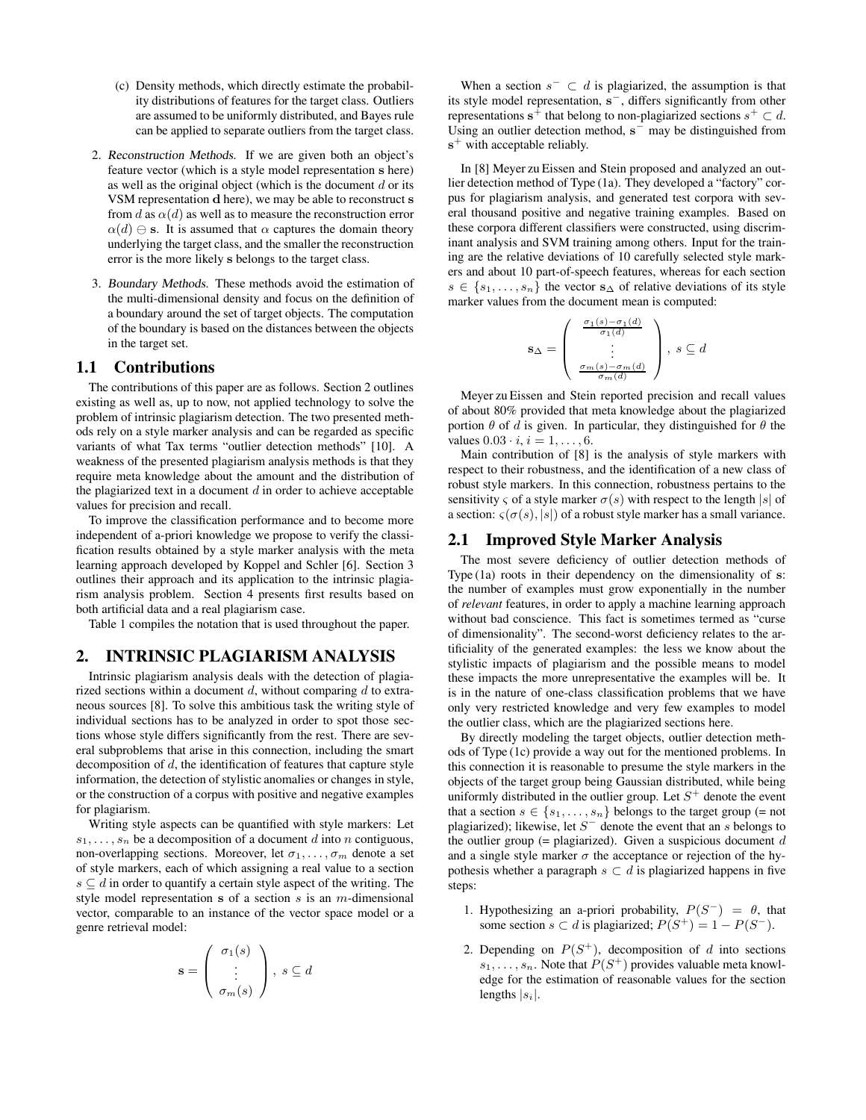- (c) Density methods, which directly estimate the probability distributions of features for the target class. Outliers are assumed to be uniformly distributed, and Bayes rule can be applied to separate outliers from the target class.
- 2. Reconstruction Methods. If we are given both an object's feature vector (which is a style model representation s here) as well as the original object (which is the document  $d$  or its VSM representation d here), we may be able to reconstruct s from d as  $\alpha(d)$  as well as to measure the reconstruction error  $\alpha(d) \ominus$  s. It is assumed that  $\alpha$  captures the domain theory underlying the target class, and the smaller the reconstruction error is the more likely s belongs to the target class.
- 3. Boundary Methods. These methods avoid the estimation of the multi-dimensional density and focus on the definition of a boundary around the set of target objects. The computation of the boundary is based on the distances between the objects in the target set.

### **1.1 Contributions**

The contributions of this paper are as follows. Section 2 outlines existing as well as, up to now, not applied technology to solve the problem of intrinsic plagiarism detection. The two presented methods rely on a style marker analysis and can be regarded as specific variants of what Tax terms "outlier detection methods" [10]. A weakness of the presented plagiarism analysis methods is that they require meta knowledge about the amount and the distribution of the plagiarized text in a document  $d$  in order to achieve acceptable values for precision and recall.

To improve the classification performance and to become more independent of a-priori knowledge we propose to verify the classification results obtained by a style marker analysis with the meta learning approach developed by Koppel and Schler [6]. Section 3 outlines their approach and its application to the intrinsic plagiarism analysis problem. Section 4 presents first results based on both artificial data and a real plagiarism case.

Table 1 compiles the notation that is used throughout the paper.

# **2. INTRINSIC PLAGIARISM ANALYSIS**

Intrinsic plagiarism analysis deals with the detection of plagiarized sections within a document  $d$ , without comparing  $d$  to extraneous sources [8]. To solve this ambitious task the writing style of individual sections has to be analyzed in order to spot those sections whose style differs significantly from the rest. There are several subproblems that arise in this connection, including the smart decomposition of  $d$ , the identification of features that capture style information, the detection of stylistic anomalies or changes in style, or the construction of a corpus with positive and negative examples for plagiarism.

Writing style aspects can be quantified with style markers: Let  $s_1, \ldots, s_n$  be a decomposition of a document d into n contiguous, non-overlapping sections. Moreover, let  $\sigma_1, \ldots, \sigma_m$  denote a set of style markers, each of which assigning a real value to a section  $s \subseteq d$  in order to quantify a certain style aspect of the writing. The style model representation s of a section s is an  $m$ -dimensional vector, comparable to an instance of the vector space model or a genre retrieval model:

$$
\mathbf{s} = \left(\begin{array}{c} \sigma_1(s) \\ \vdots \\ \sigma_m(s) \end{array}\right), \ s \subseteq d
$$

When a section  $s^- \subset d$  is plagiarized, the assumption is that its style model representation, s<sup>−</sup>, differs significantly from other representations  $s^+$  that belong to non-plagiarized sections  $s^+ \subset d$ . Using an outlier detection method,  $s^-$  may be distinguished from s<sup>+</sup> with acceptable reliably.

In [8] Meyer zu Eissen and Stein proposed and analyzed an outlier detection method of Type (1a). They developed a "factory" corpus for plagiarism analysis, and generated test corpora with several thousand positive and negative training examples. Based on these corpora different classifiers were constructed, using discriminant analysis and SVM training among others. Input for the training are the relative deviations of 10 carefully selected style markers and about 10 part-of-speech features, whereas for each section  $s \in \{s_1, \ldots, s_n\}$  the vector  $s_\Delta$  of relative deviations of its style marker values from the document mean is computed:

$$
\mathbf{s}_{\Delta} = \left(\begin{array}{c} \frac{\sigma_1(s)-\sigma_1(d)}{\sigma_1(d)} \\ \vdots \\ \frac{\sigma_m(s)-\sigma_m(d)}{\sigma_m(d)} \end{array}\right), \; s \subseteq d
$$

Meyer zu Eissen and Stein reported precision and recall values of about 80% provided that meta knowledge about the plagiarized portion  $\theta$  of d is given. In particular, they distinguished for  $\theta$  the values  $0.03 \cdot i, i = 1, \ldots, 6$ .

Main contribution of [8] is the analysis of style markers with respect to their robustness, and the identification of a new class of robust style markers. In this connection, robustness pertains to the sensitivity  $\varsigma$  of a style marker  $\sigma(s)$  with respect to the length |s| of a section:  $\varsigma(\sigma(s), |s|)$  of a robust style marker has a small variance.

### **2.1 Improved Style Marker Analysis**

The most severe deficiency of outlier detection methods of Type (1a) roots in their dependency on the dimensionality of s: the number of examples must grow exponentially in the number of *relevant* features, in order to apply a machine learning approach without bad conscience. This fact is sometimes termed as "curse of dimensionality". The second-worst deficiency relates to the artificiality of the generated examples: the less we know about the stylistic impacts of plagiarism and the possible means to model these impacts the more unrepresentative the examples will be. It is in the nature of one-class classification problems that we have only very restricted knowledge and very few examples to model the outlier class, which are the plagiarized sections here.

By directly modeling the target objects, outlier detection methods of Type (1c) provide a way out for the mentioned problems. In this connection it is reasonable to presume the style markers in the objects of the target group being Gaussian distributed, while being uniformly distributed in the outlier group. Let  $S^+$  denote the event that a section  $s \in \{s_1, \ldots, s_n\}$  belongs to the target group (= not plagiarized); likewise, let  $S^-$  denote the event that an s belongs to the outlier group (= plagiarized). Given a suspicious document  $d$ and a single style marker  $\sigma$  the acceptance or rejection of the hypothesis whether a paragraph  $s \subset d$  is plagiarized happens in five steps:

- 1. Hypothesizing an a-priori probability,  $P(S^-) = \theta$ , that some section  $s \subset d$  is plagiarized;  $P(S^+) = 1 - P(S^-)$ .
- 2. Depending on  $P(S^+)$ , decomposition of d into sections  $s_1, \ldots, s_n$ . Note that  $P(S^+)$  provides valuable meta knowledge for the estimation of reasonable values for the section lengths  $|s_i|$ .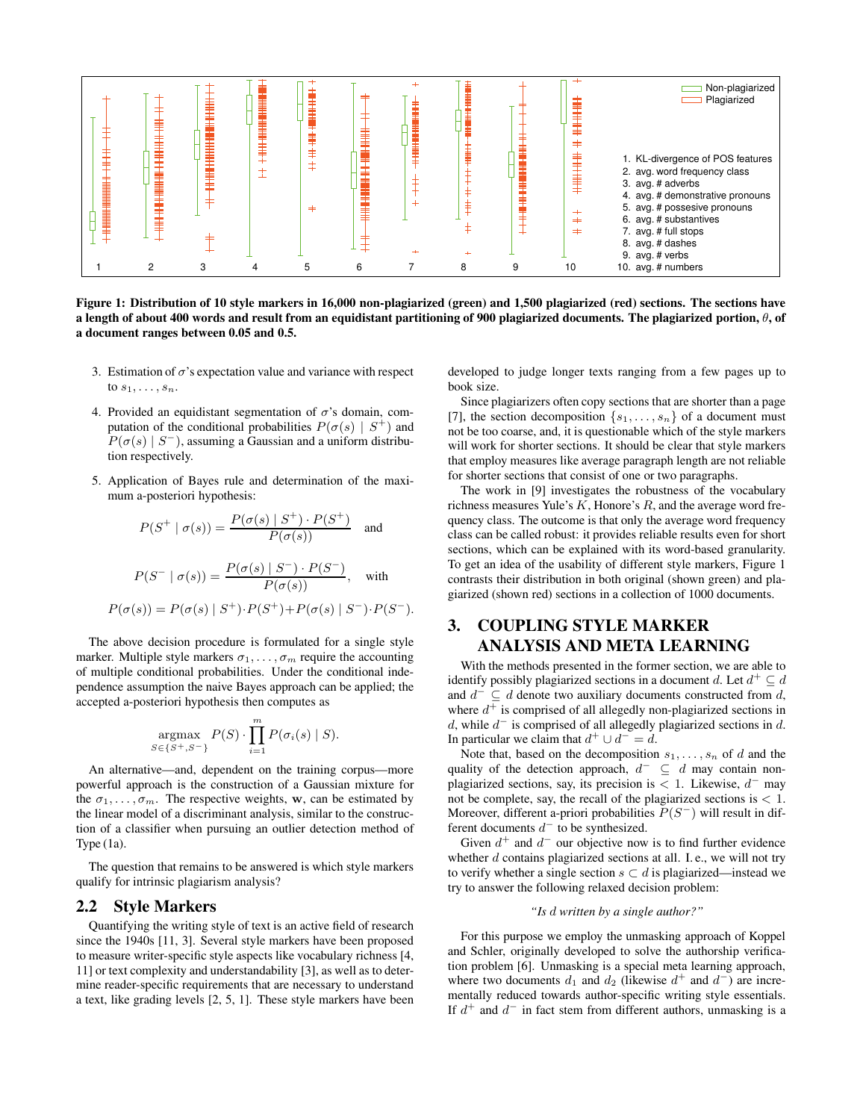

Figure 1: Distribution of 10 style markers in 16,000 non-plagiarized (green) and 1,500 plagiarized (red) sections. The sections have a length of about 400 words and result from an equidistant partitioning of 900 plagiarized documents. The plagiarized portion,  $\theta$ , of **a document ranges between 0.05 and 0.5.**

- 3. Estimation of  $\sigma$ 's expectation value and variance with respect to  $s_1, \ldots, s_n$ .
- 4. Provided an equidistant segmentation of  $\sigma$ 's domain, computation of the conditional probabilities  $P(\sigma(s) | S^+)$  and  $P(\sigma(s) | S^-)$ , assuming a Gaussian and a uniform distribution respectively.
- 5. Application of Bayes rule and determination of the maximum a-posteriori hypothesis:

$$
P(S^+ | \sigma(s)) = \frac{P(\sigma(s) | S^+) \cdot P(S^+)}{P(\sigma(s))}
$$
 and

$$
P(S^- | \sigma(s)) = \frac{P(\sigma(s) | S^-) \cdot P(S^-)}{P(\sigma(s))}, \quad \text{with}
$$
  

$$
P(\sigma(s)) = P(\sigma(s) | S^+) \cdot P(S^+) + P(\sigma(s) | S^-) \cdot P(S^-).
$$

The above decision procedure is formulated for a single style marker. Multiple style markers  $\sigma_1, \ldots, \sigma_m$  require the accounting of multiple conditional probabilities. Under the conditional independence assumption the naive Bayes approach can be applied; the accepted a-posteriori hypothesis then computes as

$$
\underset{S \in \{S^+, S^-\}}{\operatorname{argmax}} P(S) \cdot \prod_{i=1}^m P(\sigma_i(s) \mid S).
$$

An alternative—and, dependent on the training corpus—more powerful approach is the construction of a Gaussian mixture for the  $\sigma_1, \ldots, \sigma_m$ . The respective weights, w, can be estimated by the linear model of a discriminant analysis, similar to the construction of a classifier when pursuing an outlier detection method of Type (1a).

The question that remains to be answered is which style markers qualify for intrinsic plagiarism analysis?

### **2.2 Style Markers**

Quantifying the writing style of text is an active field of research since the 1940s [11, 3]. Several style markers have been proposed to measure writer-specific style aspects like vocabulary richness [4, 11] or text complexity and understandability [3], as well as to determine reader-specific requirements that are necessary to understand a text, like grading levels [2, 5, 1]. These style markers have been

developed to judge longer texts ranging from a few pages up to book size.

Since plagiarizers often copy sections that are shorter than a page [7], the section decomposition  $\{s_1, \ldots, s_n\}$  of a document must not be too coarse, and, it is questionable which of the style markers will work for shorter sections. It should be clear that style markers that employ measures like average paragraph length are not reliable for shorter sections that consist of one or two paragraphs.

The work in [9] investigates the robustness of the vocabulary richness measures Yule's  $K$ , Honore's  $R$ , and the average word frequency class. The outcome is that only the average word frequency class can be called robust: it provides reliable results even for short sections, which can be explained with its word-based granularity. To get an idea of the usability of different style markers, Figure 1 contrasts their distribution in both original (shown green) and plagiarized (shown red) sections in a collection of 1000 documents.

# **3. COUPLING STYLE MARKER ANALYSIS AND META LEARNING**

With the methods presented in the former section, we are able to identify possibly plagiarized sections in a document d. Let  $d^+ \subseteq d$ and  $d^{-} \subseteq d$  denote two auxiliary documents constructed from d, where  $d^+$  is comprised of all allegedly non-plagiarized sections in d, while  $d^-$  is comprised of all allegedly plagiarized sections in d. In particular we claim that  $d^+ \cup d^- = d$ .

Note that, based on the decomposition  $s_1, \ldots, s_n$  of d and the quality of the detection approach,  $d^- \subseteq d$  may contain nonplagiarized sections, say, its precision is < 1. Likewise,  $d^-$  may not be complete, say, the recall of the plagiarized sections is < 1. Moreover, different a-priori probabilities  $P(S^-)$  will result in different documents  $d^-$  to be synthesized.

Given  $d^+$  and  $d^-$  our objective now is to find further evidence whether  $d$  contains plagiarized sections at all. I.e., we will not try to verify whether a single section  $s \subset d$  is plagiarized—instead we try to answer the following relaxed decision problem:

### *"Is* d *written by a single author?"*

For this purpose we employ the unmasking approach of Koppel and Schler, originally developed to solve the authorship verification problem [6]. Unmasking is a special meta learning approach, where two documents  $d_1$  and  $d_2$  (likewise  $d^+$  and  $d^-$ ) are incrementally reduced towards author-specific writing style essentials. If  $d^+$  and  $d^-$  in fact stem from different authors, unmasking is a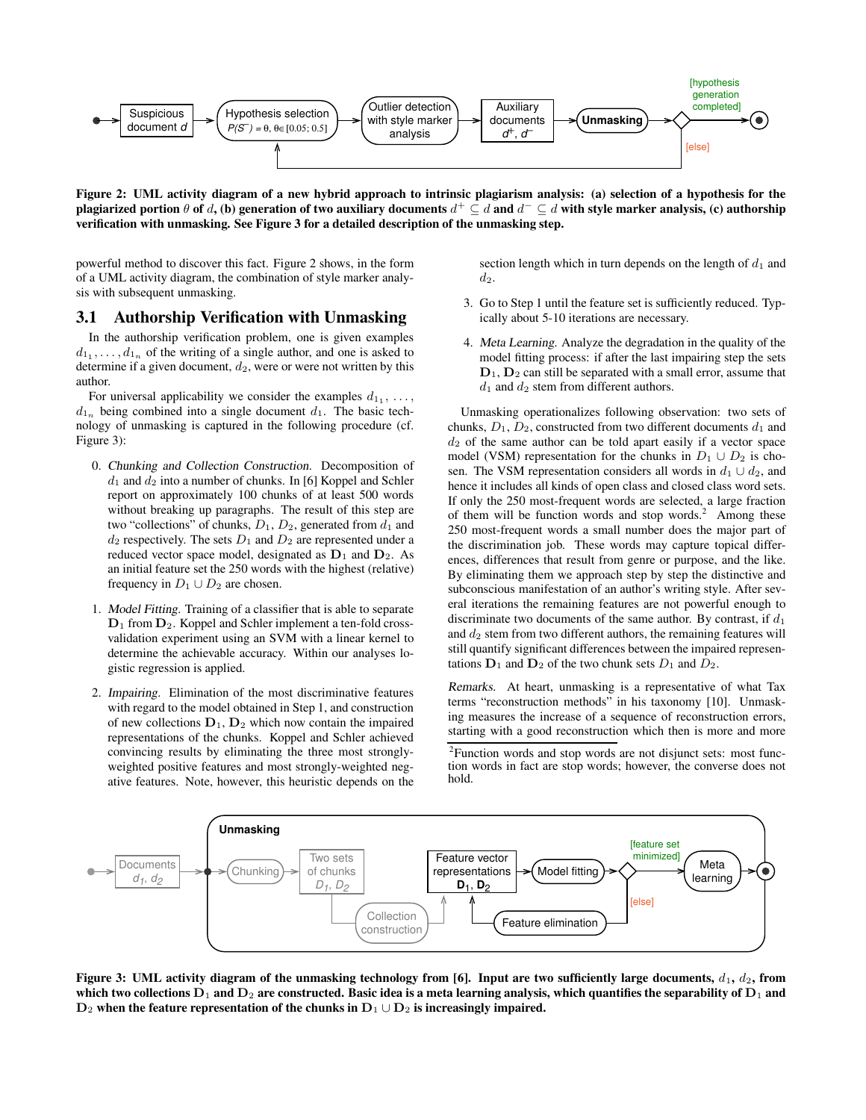

Figure 2: UML activity diagram of a new hybrid approach to intrinsic plagiarism analysis: (a) selection of a hypothesis for the plagiarized portion  $\theta$  of  $d$ , (b) generation of two auxiliary documents  $d^+\subseteq d$  and  $d^-\subseteq d$  with style marker analysis, (c) authorship **verification with unmasking. See Figure 3 for a detailed description of the unmasking step.**

powerful method to discover this fact. Figure 2 shows, in the form of a UML activity diagram, the combination of style marker analysis with subsequent unmasking.

## **3.1 Authorship Verification with Unmasking**

In the authorship verification problem, one is given examples  $d_{1_1}, \ldots, d_{1_n}$  of the writing of a single author, and one is asked to determine if a given document,  $d_2$ , were or were not written by this author.

For universal applicability we consider the examples  $d_{1_1}, \ldots, d_{n_k}$  $d_{1n}$  being combined into a single document  $d_1$ . The basic technology of unmasking is captured in the following procedure (cf. Figure 3):

- 0. Chunking and Collection Construction. Decomposition of  $d_1$  and  $d_2$  into a number of chunks. In [6] Koppel and Schler report on approximately 100 chunks of at least 500 words without breaking up paragraphs. The result of this step are two "collections" of chunks,  $D_1, D_2$ , generated from  $d_1$  and  $d_2$  respectively. The sets  $D_1$  and  $D_2$  are represented under a reduced vector space model, designated as  $D_1$  and  $D_2$ . As an initial feature set the 250 words with the highest (relative) frequency in  $D_1 \cup D_2$  are chosen.
- 1. Model Fitting. Training of a classifier that is able to separate  $D_1$  from  $D_2$ . Koppel and Schler implement a ten-fold crossvalidation experiment using an SVM with a linear kernel to determine the achievable accuracy. Within our analyses logistic regression is applied.
- 2. Impairing. Elimination of the most discriminative features with regard to the model obtained in Step 1, and construction of new collections  $D_1$ ,  $D_2$  which now contain the impaired representations of the chunks. Koppel and Schler achieved convincing results by eliminating the three most stronglyweighted positive features and most strongly-weighted negative features. Note, however, this heuristic depends on the

section length which in turn depends on the length of  $d_1$  and  $d_2$ .

- 3. Go to Step 1 until the feature set is sufficiently reduced. Typically about 5-10 iterations are necessary.
- 4. Meta Learning. Analyze the degradation in the quality of the model fitting process: if after the last impairing step the sets  $D_1$ ,  $D_2$  can still be separated with a small error, assume that  $d_1$  and  $d_2$  stem from different authors.

Unmasking operationalizes following observation: two sets of chunks,  $D_1$ ,  $D_2$ , constructed from two different documents  $d_1$  and  $d_2$  of the same author can be told apart easily if a vector space model (VSM) representation for the chunks in  $D_1 \cup D_2$  is chosen. The VSM representation considers all words in  $d_1 \cup d_2$ , and hence it includes all kinds of open class and closed class word sets. If only the 250 most-frequent words are selected, a large fraction of them will be function words and stop words.<sup>2</sup> Among these 250 most-frequent words a small number does the major part of the discrimination job. These words may capture topical differences, differences that result from genre or purpose, and the like. By eliminating them we approach step by step the distinctive and subconscious manifestation of an author's writing style. After several iterations the remaining features are not powerful enough to discriminate two documents of the same author. By contrast, if  $d_1$ and  $d_2$  stem from two different authors, the remaining features will still quantify significant differences between the impaired representations  $D_1$  and  $D_2$  of the two chunk sets  $D_1$  and  $D_2$ .

Remarks. At heart, unmasking is a representative of what Tax terms "reconstruction methods" in his taxonomy [10]. Unmasking measures the increase of a sequence of reconstruction errors, starting with a good reconstruction which then is more and more

<sup>2</sup>Function words and stop words are not disjunct sets: most function words in fact are stop words; however, the converse does not hold.



Figure 3: UML activity diagram of the unmasking technology from [6]. Input are two sufficiently large documents,  $d_1$ ,  $d_2$ , from which two collections  $D_1$  and  $D_2$  are constructed. Basic idea is a meta learning analysis, which quantifies the separability of  $D_1$  and  $D_2$  when the feature representation of the chunks in  $D_1 \cup D_2$  is increasingly impaired.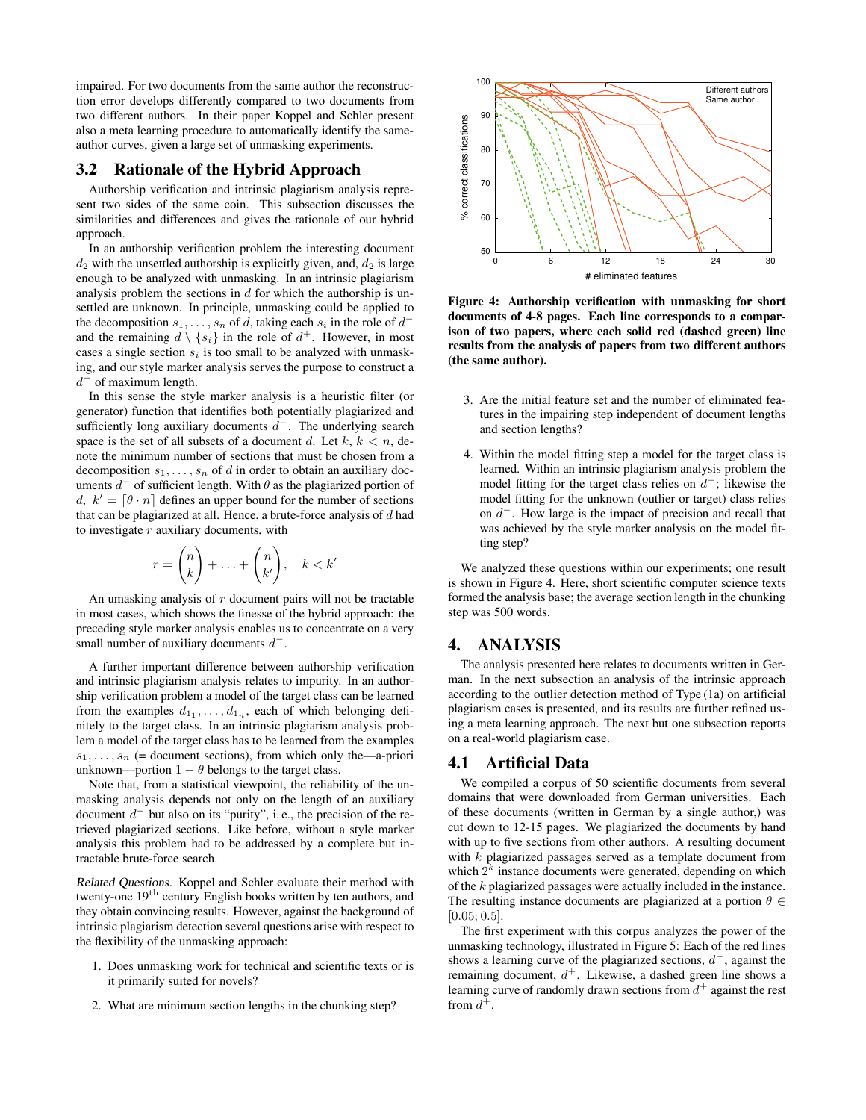impaired. For two documents from the same author the reconstruction error develops differently compared to two documents from two different authors. In their paper Koppel and Schler present also a meta learning procedure to automatically identify the sameauthor curves, given a large set of unmasking experiments.

# **3.2 Rationale of the Hybrid Approach**

Authorship verification and intrinsic plagiarism analysis represent two sides of the same coin. This subsection discusses the similarities and differences and gives the rationale of our hybrid approach.

In an authorship verification problem the interesting document  $d_2$  with the unsettled authorship is explicitly given, and,  $d_2$  is large enough to be analyzed with unmasking. In an intrinsic plagiarism analysis problem the sections in  $d$  for which the authorship is unsettled are unknown. In principle, unmasking could be applied to the decomposition  $s_1, \ldots, s_n$  of d, taking each  $s_i$  in the role of  $d^$ and the remaining  $d \setminus \{s_i\}$  in the role of  $d^+$ . However, in most cases a single section  $s_i$  is too small to be analyzed with unmasking, and our style marker analysis serves the purpose to construct a  $d^-$  of maximum length.

In this sense the style marker analysis is a heuristic filter (or generator) function that identifies both potentially plagiarized and sufficiently long auxiliary documents  $d^-$ . The underlying search space is the set of all subsets of a document d. Let  $k, k < n$ , denote the minimum number of sections that must be chosen from a decomposition  $s_1, \ldots, s_n$  of d in order to obtain an auxiliary documents  $d^-$  of sufficient length. With  $\theta$  as the plagiarized portion of d,  $k' = [\theta \cdot n]$  defines an upper bound for the number of sections that can be plagiarized at all. Hence, a brute-force analysis of  $d$  had to investigate  $r$  auxiliary documents, with

$$
r = \binom{n}{k} + \ldots + \binom{n}{k'}, \quad k < k'
$$

An umasking analysis of  $r$  document pairs will not be tractable in most cases, which shows the finesse of the hybrid approach: the preceding style marker analysis enables us to concentrate on a very small number of auxiliary documents  $d^-$ .

A further important difference between authorship verification and intrinsic plagiarism analysis relates to impurity. In an authorship verification problem a model of the target class can be learned from the examples  $d_{1_1}, \ldots, d_{1_n}$ , each of which belonging definitely to the target class. In an intrinsic plagiarism analysis problem a model of the target class has to be learned from the examples  $s_1, \ldots, s_n$  (= document sections), from which only the—a-priori unknown—portion  $1 - \theta$  belongs to the target class.

Note that, from a statistical viewpoint, the reliability of the unmasking analysis depends not only on the length of an auxiliary document  $d^-$  but also on its "purity", i.e., the precision of the retrieved plagiarized sections. Like before, without a style marker analysis this problem had to be addressed by a complete but intractable brute-force search.

Related Questions. Koppel and Schler evaluate their method with twenty-one  $19<sup>th</sup>$  century English books written by ten authors, and they obtain convincing results. However, against the background of intrinsic plagiarism detection several questions arise with respect to the flexibility of the unmasking approach:

- 1. Does unmasking work for technical and scientific texts or is it primarily suited for novels?
- 2. What are minimum section lengths in the chunking step?



**Figure 4: Authorship verification with unmasking for short documents of 4-8 pages. Each line corresponds to a comparison of two papers, where each solid red (dashed green) line results from the analysis of papers from two different authors (the same author).**

- 3. Are the initial feature set and the number of eliminated features in the impairing step independent of document lengths and section lengths?
- 4. Within the model fitting step a model for the target class is learned. Within an intrinsic plagiarism analysis problem the model fitting for the target class relies on  $d^+$ ; likewise the model fitting for the unknown (outlier or target) class relies on  $d^-$ . How large is the impact of precision and recall that was achieved by the style marker analysis on the model fitting step?

We analyzed these questions within our experiments; one result is shown in Figure 4. Here, short scientific computer science texts formed the analysis base; the average section length in the chunking step was 500 words.

# **4. ANALYSIS**

The analysis presented here relates to documents written in German. In the next subsection an analysis of the intrinsic approach according to the outlier detection method of Type (1a) on artificial plagiarism cases is presented, and its results are further refined using a meta learning approach. The next but one subsection reports on a real-world plagiarism case.

### **4.1 Artificial Data**

We compiled a corpus of 50 scientific documents from several domains that were downloaded from German universities. Each of these documents (written in German by a single author,) was cut down to 12-15 pages. We plagiarized the documents by hand with up to five sections from other authors. A resulting document with  $k$  plagiarized passages served as a template document from which  $2<sup>k</sup>$  instance documents were generated, depending on which of the k plagiarized passages were actually included in the instance. The resulting instance documents are plagiarized at a portion  $\theta \in$  $[0.05; 0.5]$ .

The first experiment with this corpus analyzes the power of the unmasking technology, illustrated in Figure 5: Each of the red lines shows a learning curve of the plagiarized sections,  $d^-$ , against the remaining document,  $d^+$ . Likewise, a dashed green line shows a learning curve of randomly drawn sections from  $d^+$  against the rest from  $d^+$ .